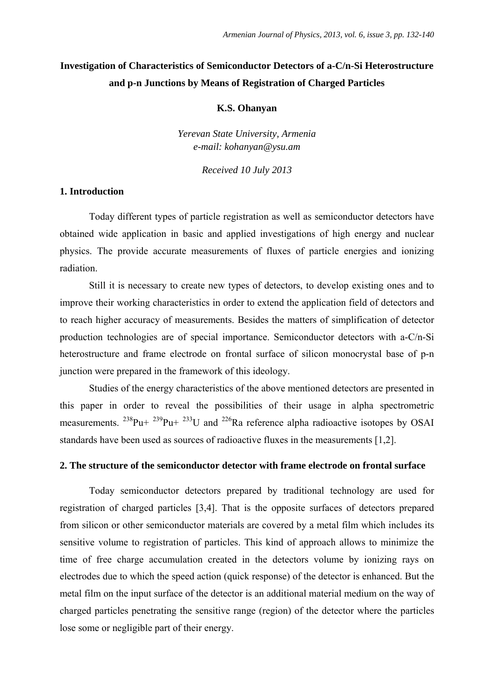# **Investigation of Characteristics of Semiconductor Detectors of a-C/n-Si Heterostructure and p-n Junctions by Means of Registration of Charged Particles**

#### **K.S. Ohanyan**

*Yerevan State University, Armenia e-mail: kohanyan@ysu.am* 

*Received 10 July 2013* 

## **1. Introduction**

Today different types of particle registration as well as semiconductor detectors have obtained wide application in basic and applied investigations of high energy and nuclear physics. The provide accurate measurements of fluxes of particle energies and ionizing radiation.

Still it is necessary to create new types of detectors, to develop existing ones and to improve their working characteristics in order to extend the application field of detectors and to reach higher accuracy of measurements. Besides the matters of simplification of detector production technologies are of special importance. Semiconductor detectors with a-C/n-Si heterostructure and frame electrode on frontal surface of silicon monocrystal base of p-n junction were prepared in the framework of this ideology.

Studies of the energy characteristics of the above mentioned detectors are presented in this paper in order to reveal the possibilities of their usage in alpha spectrometric measurements. <sup>238</sup>Pu+ <sup>239</sup>Pu+ <sup>233</sup>U and <sup>226</sup>Ra reference alpha radioactive isotopes by OSAI standards have been used as sources of radioactive fluxes in the measurements [1,2].

#### **2. The structure of the semiconductor detector with frame electrode on frontal surface**

Today semiconductor detectors prepared by traditional technology are used for registration of charged particles [3,4]. That is the opposite surfaces of detectors prepared from silicon or other semiconductor materials are covered by a metal film which includes its sensitive volume to registration of particles. This kind of approach allows to minimize the time of free charge accumulation created in the detectors volume by ionizing rays on electrodes due to which the speed action (quick response) of the detector is enhanced. But the metal film on the input surface of the detector is an additional material medium on the way of charged particles penetrating the sensitive range (region) of the detector where the particles lose some or negligible part of their energy.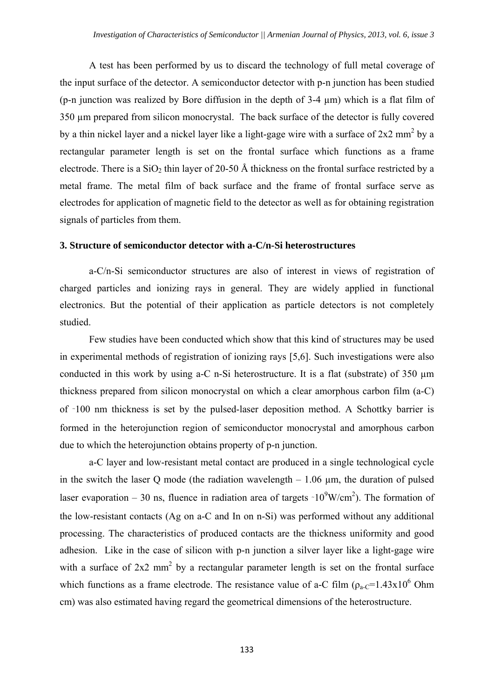A test has been performed by us to discard the technology of full metal coverage of the input surface of the detector. A semiconductor detector with p-n junction has been studied (p-n junction was realized by Bore diffusion in the depth of 3-4 µm) which is a flat film of 350 µm prepared from silicon monocrystal. The back surface of the detector is fully covered by a thin nickel layer and a nickel layer like a light-gage wire with a surface of  $2x2$  mm<sup>2</sup> by a rectangular parameter length is set on the frontal surface which functions as a frame electrode. There is a  $SiO<sub>2</sub>$  thin layer of 20-50 Å thickness on the frontal surface restricted by a metal frame. The metal film of back surface and the frame of frontal surface serve as electrodes for application of magnetic field to the detector as well as for obtaining registration signals of particles from them.

### **3. Structure of semiconductor detector with a-C/n-Si heterostructures**

a-C/n-Si semiconductor structures are also of interest in views of registration of charged particles and ionizing rays in general. They are widely applied in functional electronics. But the potential of their application as particle detectors is not completely studied.

Few studies have been conducted which show that this kind of structures may be used in experimental methods of registration of ionizing rays [5,6]. Such investigations were also conducted in this work by using a-C n-Si heterostructure. It is a flat (substrate) of  $350 \mu m$ thickness prepared from silicon monocrystal on which a clear amorphous carbon film (a-C) of ~100 nm thickness is set by the pulsed-laser deposition method. A Schottky barrier is formed in the heterojunction region of semiconductor monocrystal and amorphous carbon due to which the heterojunction obtains property of p-n junction.

a-C layer and low-resistant metal contact are produced in a single technological cycle in the switch the laser Q mode (the radiation wavelength  $-1.06 \mu m$ , the duration of pulsed laser evaporation – 30 ns, fluence in radiation area of targets  $\sim 10^9$ W/cm<sup>2</sup>). The formation of the low-resistant contacts (Ag on a-C and In on n-Si) was performed without any additional processing. The characteristics of produced contacts are the thickness uniformity and good adhesion. Like in the case of silicon with p-n junction a silver layer like a light-gage wire with a surface of  $2x2$  mm<sup>2</sup> by a rectangular parameter length is set on the frontal surface which functions as a frame electrode. The resistance value of a-C film  $(\rho_{a-C}=1.43x10^6 \text{ Ohm})$ cm) was also estimated having regard the geometrical dimensions of the heterostructure.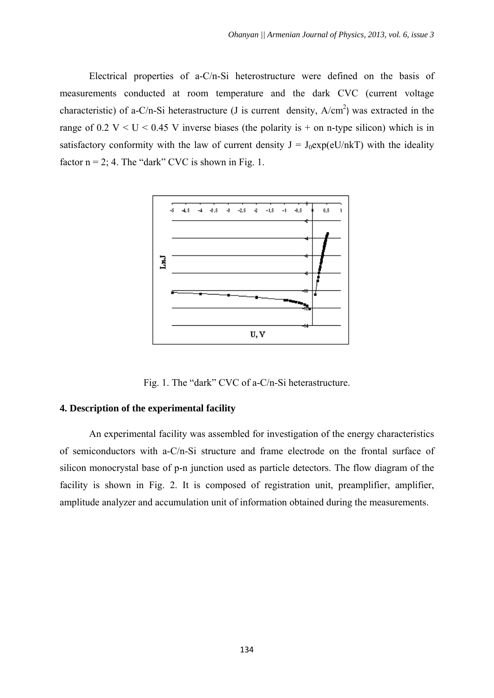Electrical properties of a-C/n-Si heterostructure were defined on the basis of measurements conducted at room temperature and the dark CVC (current voltage characteristic) of a-C/n-Si heterastructure (J is current density,  $A/cm<sup>2</sup>$ ) was extracted in the range of  $0.2$  V < U < 0.45 V inverse biases (the polarity is + on n-type silicon) which is in satisfactory conformity with the law of current density  $J = J_0 exp(eU/nkT)$  with the ideality factor  $n = 2$ ; 4. The "dark" CVC is shown in Fig. 1.



Fig. 1. The "dark" CVC of a-C/n-Si heterastructure.

## **4. Description of the experimental facility**

An experimental facility was assembled for investigation of the energy characteristics of semiconductors with a-C/n-Si structure and frame electrode on the frontal surface of silicon monocrystal base of p-n junction used as particle detectors. The flow diagram of the facility is shown in Fig. 2. It is composed of registration unit, preamplifier, amplifier, amplitude analyzer and accumulation unit of information obtained during the measurements.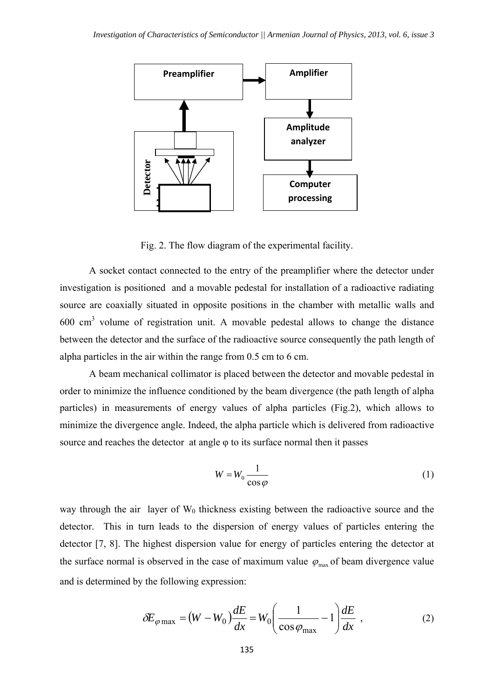

Fig. 2. The flow diagram of the experimental facility.

A socket contact connected to the entry of the preamplifier where the detector under investigation is positioned and a movable pedestal for installation of a radioactive radiating source are coaxially situated in opposite positions in the chamber with metallic walls and  $600 \text{ cm}^3$  volume of registration unit. A movable pedestal allows to change the distance between the detector and the surface of the radioactive source consequently the path length of alpha particles in the air within the range from 0.5 cm to 6 cm. **Example 14 Computer**<br>
Fig. 2. The flow diagram of the experimental facility.<br>
The flow diagram of the experimental facility.<br>
The tact connected to the entry of the preamplifier where the detector under<br>
invariant and

A beam mechanical collimator is placed between the detector and movable pedestal in order to minimize the influence conditioned by the beam divergence (the path length of alpha particles) in measurements of energy values of alpha particles (Fig.2), which allows to minimize the divergence angle. Indeed, the alpha particle which is delivered from radioactive source and reaches the detector at angle φ to its surface normal then it passes

$$
W = W_0 \frac{1}{\cos \varphi} \tag{1}
$$

way through the air layer of  $W_0$  thickness existing between the radioactive source and the detector. This in turn leads to the dispersion of energy values of particles entering the detector [7, 8]. The highest dispersion value for energy of particles entering the detector at the surface normal is observed in the case of maximum value  $\varphi_{\text{max}}$  of beam divergence value and is determined by the following expression:

$$
\delta E_{\varphi \max} = (W - W_0) \frac{dE}{dx} = W_0 \left( \frac{1}{\cos \varphi_{\max}} - 1 \right) \frac{dE}{dx} , \qquad (2)
$$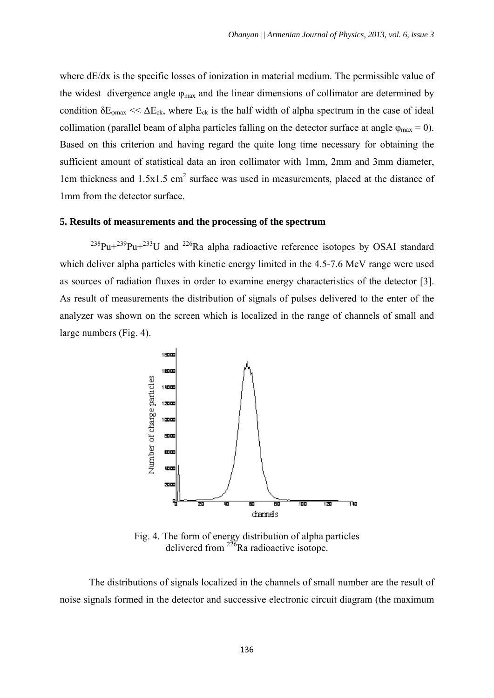where dE/dx is the specific losses of ionization in material medium. The permissible value of the widest divergence angle  $\varphi_{\text{max}}$  and the linear dimensions of collimator are determined by condition  $\delta E_{\phi max} \ll \Delta E_{ck}$ , where  $E_{ck}$  is the half width of alpha spectrum in the case of ideal collimation (parallel beam of alpha particles falling on the detector surface at angle  $\varphi_{\text{max}} = 0$ ). Based on this criterion and having regard the quite long time necessary for obtaining the sufficient amount of statistical data an iron collimator with 1mm, 2mm and 3mm diameter, 1cm thickness and  $1.5x1.5$  cm<sup>2</sup> surface was used in measurements, placed at the distance of 1mm from the detector surface.

#### **5. Results of measurements and the processing of the spectrum**

 $^{238}Pu+^{239}Pu+^{233}U$  and  $^{226}Ra$  alpha radioactive reference isotopes by OSAI standard which deliver alpha particles with kinetic energy limited in the 4.5-7.6 MeV range were used as sources of radiation fluxes in order to examine energy characteristics of the detector [3]. As result of measurements the distribution of signals of pulses delivered to the enter of the analyzer was shown on the screen which is localized in the range of channels of small and large numbers (Fig. 4).



Fig. 4. The form of energy distribution of alpha particles delivered from  $^{226}$ Ra radioactive isotope.

 The distributions of signals localized in the channels of small number are the result of noise signals formed in the detector and successive electronic circuit diagram (the maximum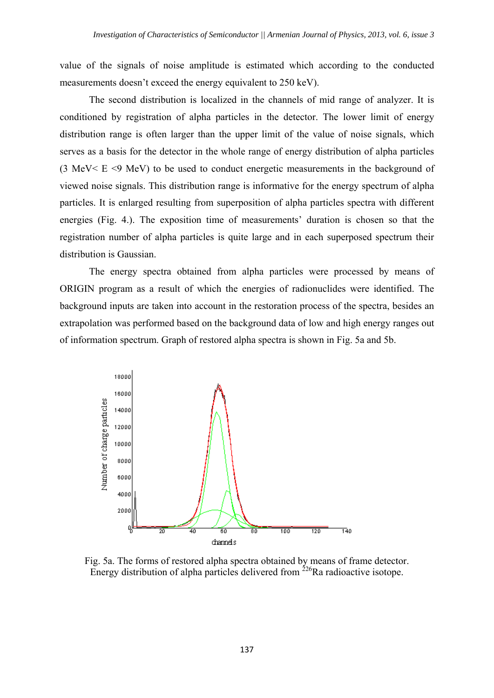value of the signals of noise amplitude is estimated which according to the conducted measurements doesn't exceed the energy equivalent to 250 keV).

The second distribution is localized in the channels of mid range of analyzer. It is conditioned by registration of alpha particles in the detector. The lower limit of energy distribution range is often larger than the upper limit of the value of noise signals, which serves as a basis for the detector in the whole range of energy distribution of alpha particles (3 MeV< E <9 MeV) to be used to conduct energetic measurements in the background of viewed noise signals. This distribution range is informative for the energy spectrum of alpha particles. It is enlarged resulting from superposition of alpha particles spectra with different energies (Fig. 4.). The exposition time of measurements' duration is chosen so that the registration number of alpha particles is quite large and in each superposed spectrum their distribution is Gaussian.

The energy spectra obtained from alpha particles were processed by means of ORIGIN program as a result of which the energies of radionuclides were identified. The background inputs are taken into account in the restoration process of the spectra, besides an extrapolation was performed based on the background data of low and high energy ranges out of information spectrum. Graph of restored alpha spectra is shown in Fig. 5a and 5b.



Fig. 5a. The forms of restored alpha spectra obtained by means of frame detector. Energy distribution of alpha particles delivered from  $^{226}$ Ra radioactive isotope.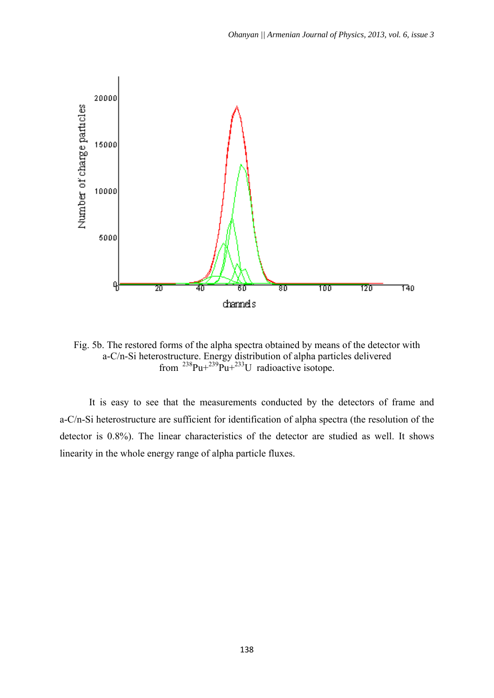

Fig. 5b. The restored forms of the alpha spectra obtained by means of the detector with a-C/n-Si heterostructure. Energy distribution of alpha particles delivered from  $^{238}$ Pu+ $^{239}$ Pu+ $^{233}$ U radioactive isotope.

It is easy to see that the measurements conducted by the detectors of frame and a-C/n-Si heterostructure are sufficient for identification of alpha spectra (the resolution of the detector is 0.8%). The linear characteristics of the detector are studied as well. It shows linearity in the whole energy range of alpha particle fluxes.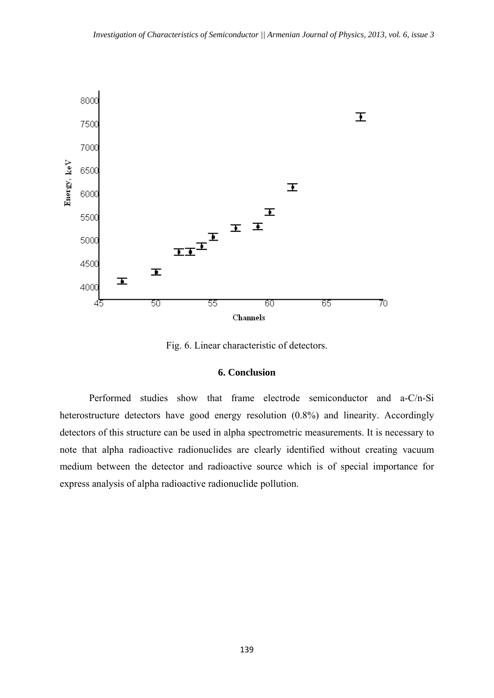

Fig. 6. Linear characteristic of detectors.

## **6. Conclusion**

Performed studies show that frame electrode semiconductor and a-C/n-Si heterostructure detectors have good energy resolution  $(0.8\%)$  and linearity. Accordingly detectors of this structure can be used in alpha spectrometric measurements. It is necessary to note that alpha radioactive radionuclides are clearly identified without creating vacuum medium between the detector and radioactive source which is of special importance for express analysis of alpha radioactive radionuclide pollution.